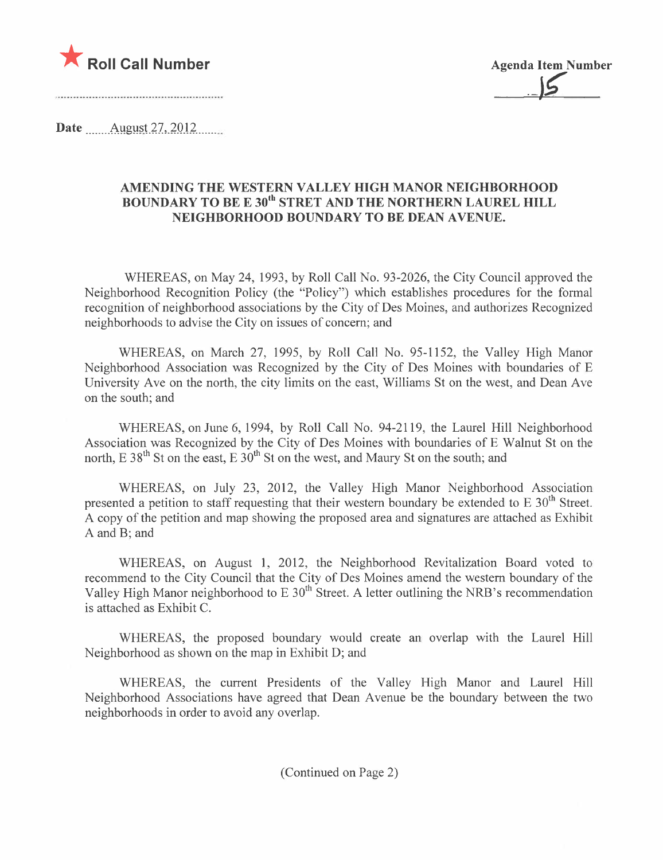

<u>حل</u>

Date  $\qquad$  August 27, 2012.

#### AMENDING THE WESTERN VALLEY HIGH MANOR NEIGHBORHOOD BOUNDARY TO BE E 30<sup>th</sup> STRET AND THE NORTHERN LAUREL HILL NEIGHBORHOOD BOUNDARY TO BE DEAN AVENUE.

WHEREAS, on May 24, 1993, by Roll Call No. 93-2026, the City Council approved the Neighborhood Recognition Policy (the "Policy") which establishes procedures for the formal recognition of neighborhood associations by the City of Des Moines, and authorizes Recognized neighborhoods to advise the City on issues of concern; and

WHEREAS, on March 27, 1995, by Roll Call No. 95-1152, the Valley High Manor Neighborhood Association was Recognized by the City of Des Moines with boundaries of E University Ave on the north, the city limits on the east, Williams St on the west, and Dean Ave on the south; and

WHEREAS, on June 6, 1994, by Roll Call No. 94-2119, the Laurel Hill Neighborhood Association was Recognized by the City of Des Moines with boundaries of E Walnut St on the north, E 38<sup>th</sup> St on the east, E  $30<sup>th</sup>$  St on the west, and Maury St on the south; and

WHEREAS, on July 23, 2012, the Valley High Manor Neighborhood Association presented a petition to staff requesting that their western boundary be extended to E 30<sup>th</sup> Street. A copy of the petition and map showing the proposed area and signatures are attached as Exhibit A and B; and

WHEREAS, on August 1, 2012, the Neighborhood Revitalization Board voted to recommend to the City Council that the City of Des Moines amend the western boundary of the Valley High Manor neighborhood to E 30<sup>th</sup> Street. A letter outlining the NRB's recommendation is attached as Exhibit C.

WHEREAS, the proposed boundary would create an overlap with the Laurel Hill Neighborhood as shown on the map in Exhibit D; and

WHEREAS, the current Presidents of the Valley High Manor and Laurel Hill Neighborhood Associations have agreed that Dean A venue be the boundary between the two neighborhoods in order to avoid any overlap.

(Continued on Page 2)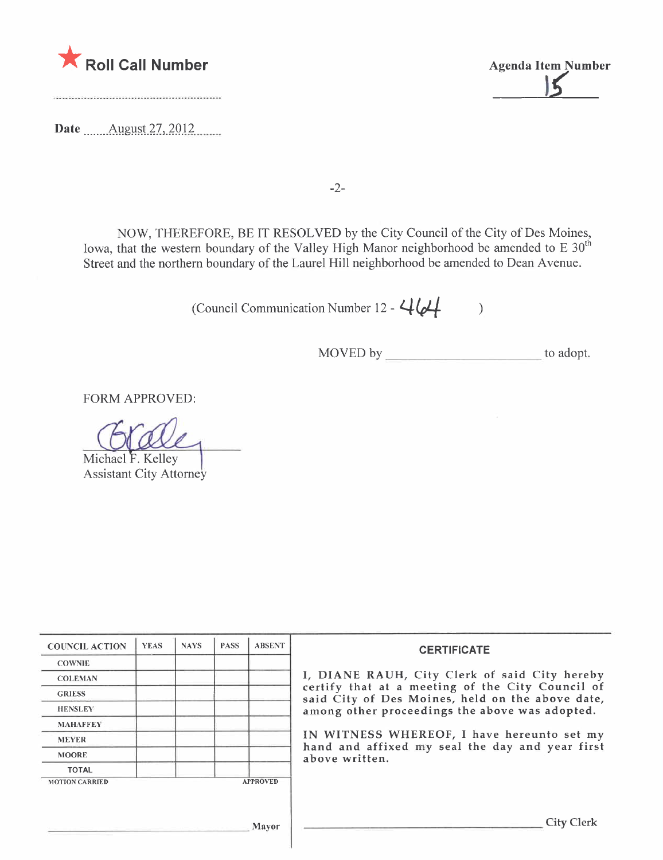

Da te ...... \_ .Al!gll~t)7. ,)QJ.Z. m.....

\* Roll Call Number Agenda Item Number 4. Agenda Item Number 4. Agenda Item Number 1. Agenda Item Number 1. Agenda Item Number 1. Agenda Item Number 1. Agenda Item Number 1. Agenda Item Number 1. Agenda Item Number 1. Agend

-2-

NOW, THEREFORE, BE IT RESOLVED by the City Council of the City of Des Moines, Iowa, that the western boundary of the Valley High Manor neighborhood be amended to E  $30<sup>th</sup>$ Street and the northern boundary of the Laurel Hill neighborhood be amended to Dean A venue.

(Council Communication Number 12 -  $464$ )

MOVED by \_\_\_\_\_\_\_\_\_\_\_\_\_\_\_\_\_\_\_\_\_\_\_\_\_\_\_\_\_\_to adopt.

FORM APPROVED:

Michael F. Kelley Assistant City Attorney

| <b>COUNCIL ACTION</b> | <b>YEAS</b> | <b>NAYS</b> | <b>PASS</b> | <b>ABSENT</b>   | <b>CERTIFICATE</b>                                                                                   |  |  |  |
|-----------------------|-------------|-------------|-------------|-----------------|------------------------------------------------------------------------------------------------------|--|--|--|
| <b>COWNIE</b>         |             |             |             |                 |                                                                                                      |  |  |  |
| <b>COLEMAN</b>        |             |             |             |                 | I, DIANE RAUH, City Clerk of said City hereby                                                        |  |  |  |
| <b>GRIESS</b>         |             |             |             |                 | certify that at a meeting of the City Council of<br>said City of Des Moines, held on the above date, |  |  |  |
| <b>HENSLEY</b>        |             |             |             |                 | among other proceedings the above was adopted.                                                       |  |  |  |
| <b>MAHAFFEY</b>       |             |             |             |                 |                                                                                                      |  |  |  |
| <b>MEYER</b>          |             |             |             |                 | IN WITNESS WHEREOF, I have hereunto set my<br>hand and affixed my seal the day and year first        |  |  |  |
| <b>MOORE</b>          |             |             |             |                 | above written.                                                                                       |  |  |  |
| <b>TOTAL</b>          |             |             |             |                 |                                                                                                      |  |  |  |
| <b>MOTION CARRIED</b> |             |             |             | <b>APPROVED</b> |                                                                                                      |  |  |  |
|                       |             |             |             |                 |                                                                                                      |  |  |  |
|                       |             |             |             | Mayor           | City                                                                                                 |  |  |  |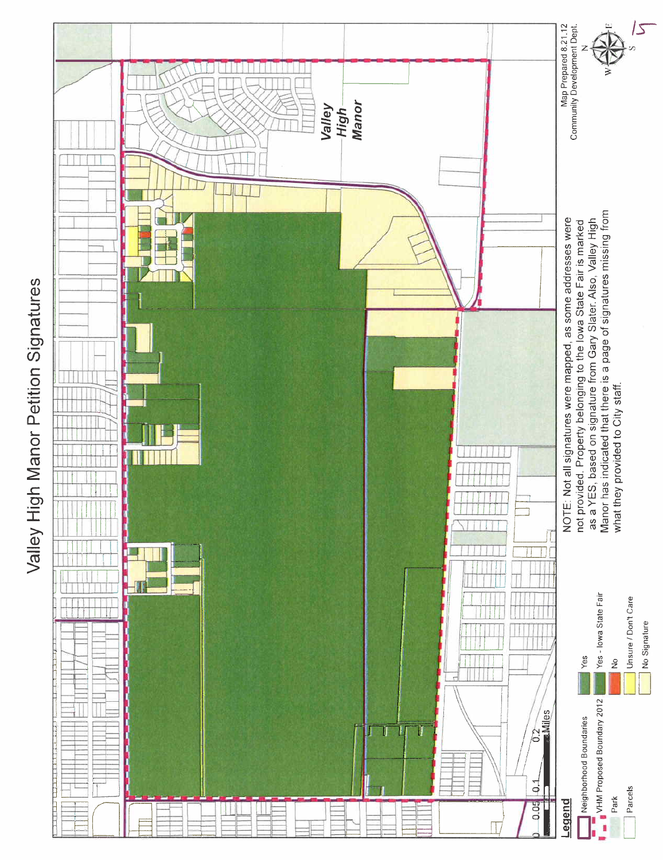

Valley High Manor Petition Signatures Valley High Manor Petition Signatures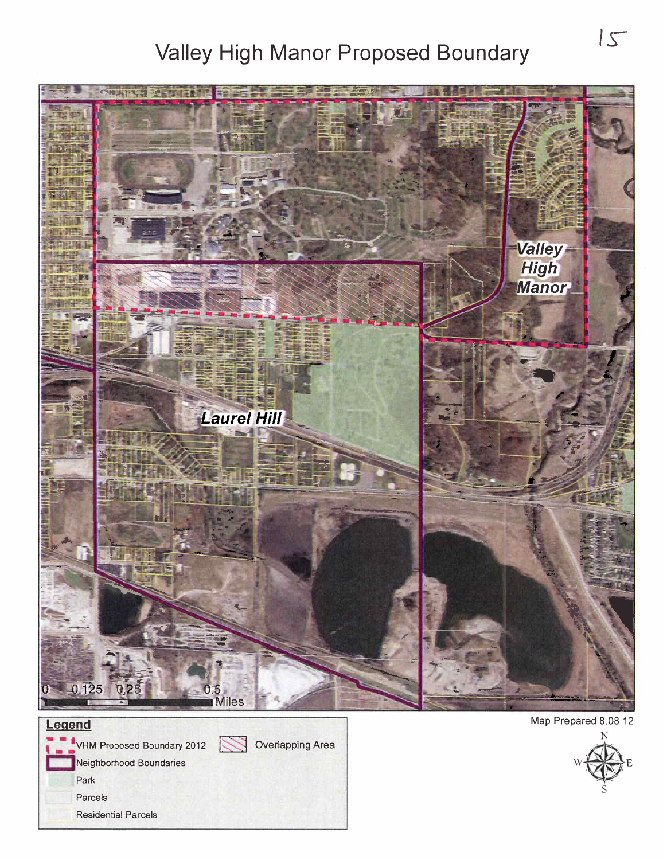# Valley High Manor Proposed Boundary 15



**W** Overlapping Area



Neighborhood Boundaries

- VHM Proposed Boundary 2012

Park

Parcels

Residential Parcels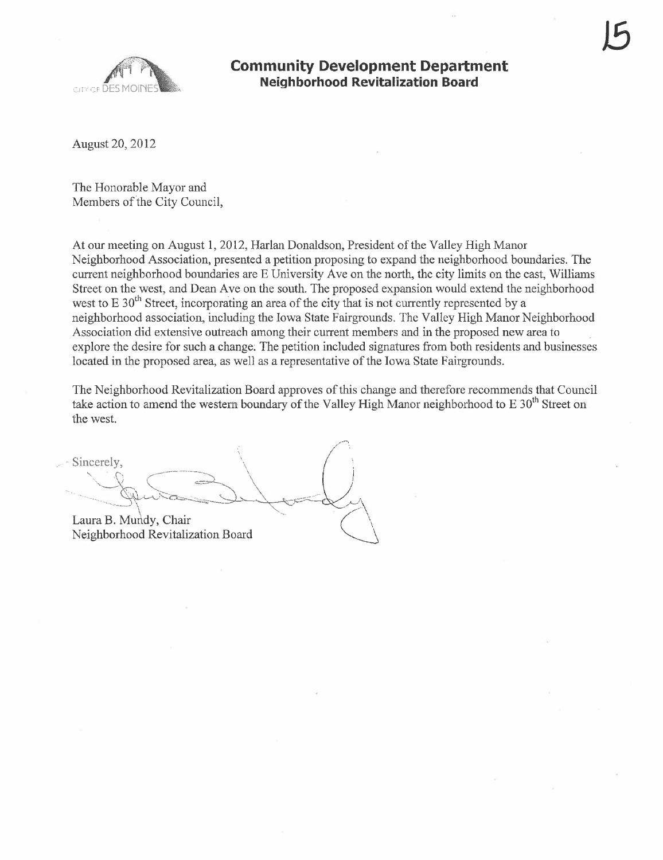



#### Community Development Department Neighborhood Revitalization Board

August 20, 2012

The Honorable Mayor and Members of the City Council,

At our meeting on August 1, 2012, Harlan Donaldson, President of the Valley High Manor Neighborhood Association, presented a petition proposing to expand the neighborhood boundaries, The curent neighborhood boundaries are E University Ave on the north, the city limits on the east, Wiliams Street on the west, and Dean Ave on the south. The proposed expansion would extend the neighborhood west to  $E 30<sup>th</sup>$  Street, incorporating an area of the city that is not currently represented by a neighborhood association, including the Iowa State Fairgrounds. The Valley High Manor Neighborhood Association did extensive outreach among their current members and in the proposed new area to explore the desire for such a change; The petition included signatures from both residents and businesses located in the proposed area, as well as a representative of the Iowa State Fairgrounds.

The Neighborhood Revitalization Board approves of this change and therefore recommends that Council take action to amend the western boundary of the Valley High Manor neighborhood to E 30<sup>th</sup> Street on

the west.<br>Sincerely,  $Sineerely,$ Laura B. Mundy, Chair **2004** Laura B. Mundy, Chair<br>Neighborhood Revitalization Board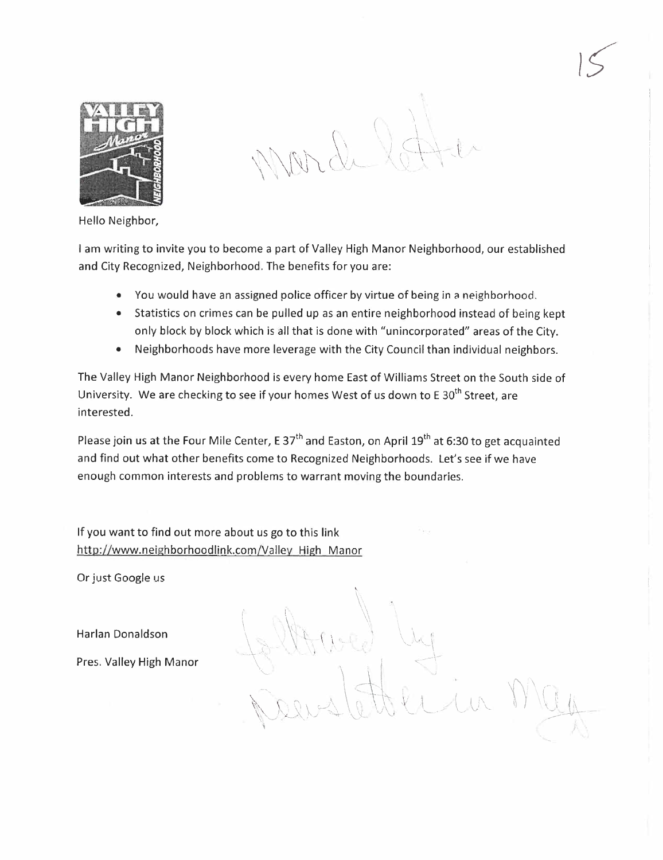

 $\mathcal{N} \cap \mathbb{Q}$  $\lambda$  //  $\lambda$   $\lambda$   $\lambda$   $\lambda$  $\Omega$  $(0, +)^n$ 

 $|S|$ 

Hello Neighbor,

I am writing to invite you to become a part of Valley High Manor Neighborhood, our established and City Recognized, Neighborhood, The benefits for you are:

- . You would have an assigned police officer by virtue of being in a neighborhood,
- · Statistics on crimes can be pulled up as an entire neighborhood instead of being kept only block by block which is all that is done with "unincorporated" areas of the City.
- · Neighborhoods have more leverage with the City Council than individual neighbors.

The Valley High Manor Neighborhood is every home East of Williams Street on the South side of University. We are checking to see if your homes West of us down to E  $30<sup>th</sup>$  Street, are interested.

Please join us at the Four Mile Center, E 37<sup>th</sup> and Easton, on April 19<sup>th</sup> at 6:30 to get acquainted and find out what other benefits come to Recognized Neighborhoods. Let's see if we have enough common interests and problems to warrant moving the boundaries,

 $\frac{1}{2}$   $\frac{1}{2}$ 

 $\mathcal{L}$  ,  $\mathcal{L}$ 

. The set of  $\mathcal{N}$  is the set of  $\mathcal{N}$ 

 $\mathcal{M} \cup \mathcal{M}$ 

 $\sqrt{2}$ 

"

 $\setminus \setminus \ldots$  $\sqrt{2\pi}$ \_\_1-  $~<~$ 

 $\ell$ *i in* 

\;')\ ( \ i '\' t\ '. l) \" '1\ - \... \ -\------ /--j:\

If you want to find out more about us go to this link http://www.neighborhoodlink.com/Vallev High Manor

Or just Google us

Harlan Donaldson \ ' \~\,

Pres. Valley High Manor